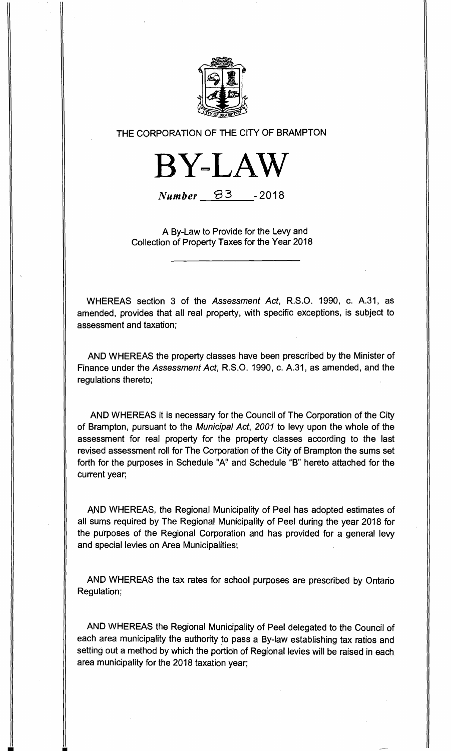

**THE CORPORATION OF THE CITY OF BRAMPTON** 



 $Number$   $B3$   $-2018$ 

**A By-Law to Provide for the Levy and Collection of Property Taxes for the Year 2018** 

**WHEREAS section 3 of the** Assessment Act, **R.S.O. 1990, c. A.31, as amended, provides that all real property, with specific exceptions, is subject to assessment and taxation;** 

**AND WHEREAS the property classes have been prescribed by the Minister of Finance under the** Assessment Act, **R.S.O. 1990, c. A.31, as amended, and the regulations thereto;** 

**AND WHEREAS it is necessary for the Council of The Corporation of the City of Brampton, pursuant to the** Municipal Act, 2001 **to levy upon the whole of the assessment for real property for the property classes according to the last revised assessment roll for The Corporation of the City of Brampton the sums set forth for the purposes in Schedule "A" and Schedule "B" hereto attached for the current year;** 

**AND WHEREAS, the Regional Municipality of Peel has adopted estimates of all sums required by The Regional Municipality of Peel during the year 2018 for the purposes of the Regional Corporation and has provided for a general levy and special levies on Area Municipalities;** 

**AND WHEREAS the tax rates for school purposes are prescribed by Ontario Regulation;** 

**AND WHEREAS the Regional Municipality of Peel delegated to the Council of each area municipality the authority to pass a By-law establishing tax ratios and setting out a method by which the portion of Regional levies will be raised in each area municipality for the 2018 taxation year;** 

╜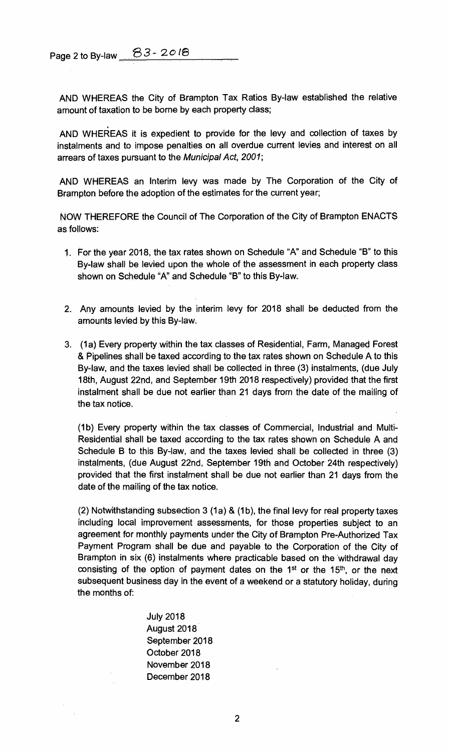**Page 2 to By-law - 20 /8**

**AND WHEREAS the City of Brampton Tax Ratios By-law established the relative amount of taxation to be borne by each property class;** 

**AND WHEREAS it is expedient to provide for the levy and collection of taxes by instalments and to impose penalties on all overdue current levies and interest on all arrears of taxes pursuant to the** Municipal Act, 2001;

**AND WHEREAS an Interim levy was made by The Corporation of the City of Brampton before the adoption of the estimates for the current year;** 

**NOW THEREFORE the Council of The Corporation of the City of Brampton ENACTS as follows:** 

- **1. For the year 2018, the tax rates shown on Schedule "A" and Schedule "B" to this By-law shall be levied upon the whole of the assessment in each property class shown on Schedule "A" and Schedule "B" to this By-law.**
- **2. Any amounts levied by the interim levy for 2018 shall be deducted from the amounts levied by this By-law.**
- **3. (1 a) Every property within the tax classes of Residential, Farm, Managed Forest & Pipelines shall be taxed according to the tax rates shown on Schedule A to this By-law, and the taxes levied shall be collected in three (3) instalments, (due July 18th, August 22nd, and September 19th 2018 respectively) provided that the first instalment shall be due not earlier than 21 days from the date of the mailing of the tax notice.**

**(1 b) Every property within the tax classes of Commercial, Industrial and Multi-Residential shall be taxed according to the tax rates shown on Schedule A and Schedule B to this By-law, and the taxes levied shall be collected in three (3) instalments, (due August 22nd, September 19th and October 24th respectively) provided that the first instalment shall be due not earlier than 21 days from the date of the mailing of the tax notice.** 

**(2) Notwithstanding subsection 3 (1 a) & (1b), the final levy for real property taxes including local improvement assessments, for those properties subject to an agreement for monthly payments under the City of Brampton Pre-Authorized Tax Payment Program shall be due and payable to the Corporation of the City of Brampton in six (6) instalments where practicable based on the withdrawal day**  consisting of the option of payment dates on the 1<sup>st</sup> or the 15<sup>th</sup>, or the next **subsequent business day in the event of a weekend or a statutory holiday, during the months of:** 

> **July 2018 August 2018 September 2018 October 2018 November 2018 December 2018**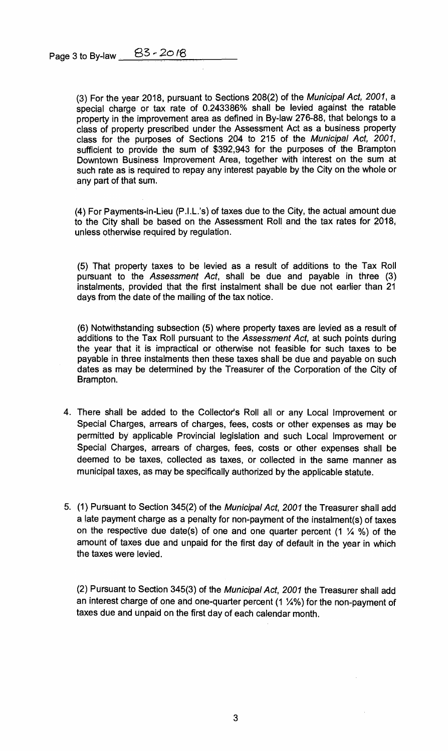**Page 3 to By-law 83** - 20 <sup>18</sup>

**(3) For the year 2018, pursuant to Sections 208(2) of the** Municipal Act, 2001, **a special charge or tax rate of 0.243386% shall be levied against the ratable property in the improvement area as defined in By-law 276-88, that belongs to a class of property prescribed under the Assessment Act as a business property class for the purposes of Sections 204 to 215 of the** Municipal Act, 2001, **sufficient to provide the sum of \$392,943 for the purposes of the Brampton Downtown Business Improvement Area, together with interest on the sum at such rate as is required to repay any interest payable by the City on the whole or any part of that sum.** 

**(4) For Payments-in-Lieu (P.I.L.'s) of taxes due to the City, the actual amount due to the City shall be based on the Assessment Roll and the tax rates for 2018, unless otherwise required by regulation.** 

**(5) That property taxes to be levied as a result of additions to the Tax Roll pursuant to the** Assessment Act, **shall be due and payable in three (3) instalments, provided that the first instalment shall be due not earlier than 21 days from the date of the mailing of the tax notice.** 

**(6) Notwithstanding subsection (5) where property taxes are levied as a result of additions to the Tax Roll pursuant to the** Assessment Act, **at such points during the year that it is impractical or otherwise not feasible for such taxes to be payable in three instalments then these taxes shall be due and payable on such dates as may be determined by the Treasurer of the Corporation of the City of Brampton.** 

- **4. There shall be added to the Collector's Roll all or any Local Improvement or Special Charges, arrears of charges, fees, costs or other expenses as may be permitted by applicable Provincial legislation and such Local Improvement or Special Charges, arrears of charges, fees, costs or other expenses shall be deemed to be taxes, collected as taxes, or collected in the same manner as municipal taxes, as may be specifically authorized by the applicable statute.**
- **5. (1) Pursuant to Section 345(2) of the** Municipal Act, 2001 **the Treasurer shall add a late payment charge as a penalty for non-payment of the instalment(s) of taxes on the respective due date(s) of one and one quarter percent (1 %) of the amount of taxes due and unpaid for the first day of default in the year in which the taxes were levied.**

**(2) Pursuant to Section 345(3) of the** Municipal Act, 2001 **the Treasurer shall add an interest charge of one and one-quarter percent (1** 1/4%) **for the non-payment of taxes due and unpaid on the first day of each calendar month.**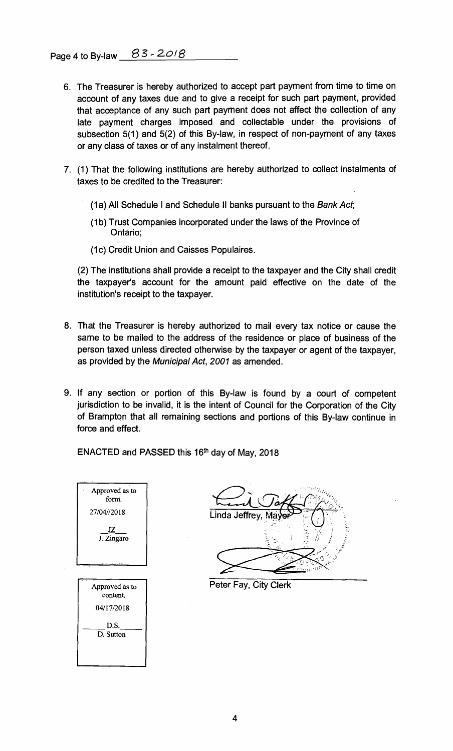- **6. The Treasurer is hereby authorized to accept part payment from time to time on account of any taxes due and to give a receipt for such part payment, provided that acceptance of any such part payment does not affect the collection of any late payment charges imposed and collectable under the provisions of subsection 5(1) and 5(2) of this By-law, in respect of non-payment of any taxes or any class of taxes or of any instalment thereof.**
- **7. (1) That the following institutions are hereby authorized to collect instalments of taxes to be credited to the Treasurer:** 
	- **(1a) All Schedule I and Schedule II banks pursuant to the** Bank Act;
	- **(1b) Trust Companies incorporated under the laws of the Province of Ontario;**
	- **(1c) Credit Union and Caisses Populaires.**

**(2) The institutions shall provide a receipt to the taxpayer and the City shall credit the taxpayer's account for the amount paid effective on the date of the institution's receipt to the taxpayer.** 

- **8. That the Treasurer is hereby authorized to mail every tax notice or cause the same to be mailed to the address of the residence or place of business of the person taxed unless directed otherwise by the taxpayer or agent of the taxpayer, as provided by the** Municipal Act, 2001 **as amended.**
- **9. If any section or portion of this By-law is found by a court of competent jurisdiction to be invalid, it is the intent of Council for the Corporation of the City of Brampton that all remaining sections and portions of this By-law continue in force and effect.**

**ENACTED and PASSED this 16th day of May, 2018** 



**Linda Jeffrey** 

**Peter Fay, City Clerk**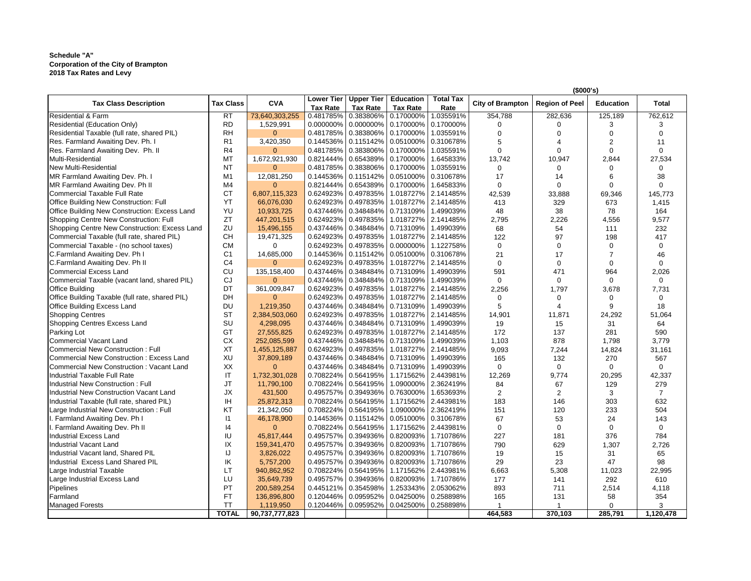## **Schedule "A" Schedule "A" Corporation of the City of Brampton 2018 Tax Rates and Levy Corporation of the City of Brampton 2018 Tax Rates and Levy**

|                                                        |                  |                |                                      |                                                        |                                      |                          |                         | (\$000's)             |                  |              |
|--------------------------------------------------------|------------------|----------------|--------------------------------------|--------------------------------------------------------|--------------------------------------|--------------------------|-------------------------|-----------------------|------------------|--------------|
| <b>Tax Class Description</b>                           | <b>Tax Class</b> | <b>CVA</b>     | <b>Lower Tier</b><br><b>Tax Rate</b> | <b>Upper Tier</b><br><b>Tax Rate</b>                   | <b>Education</b><br><b>Tax Rate</b>  | <b>Total Tax</b><br>Rate | <b>City of Brampton</b> | <b>Region of Peel</b> | <b>Education</b> | <b>Total</b> |
| <b>Residential &amp; Farm</b>                          | <b>RT</b>        | 73,640,303,255 | 0.481785%                            | 0.383806% 0.170000%                                    |                                      | 1.035591%                | 354,788                 | 282,636               | 125,189          | 762,612      |
| <b>Residential (Education Only)</b>                    | <b>RD</b>        | 1,529,991      | 0.000000%                            |                                                        | $0.000000\%$   0.170000%             | 0.170000%                |                         |                       |                  |              |
| Residential Taxable (full rate, shared PIL)            | <b>RH</b>        |                | 0.481785%                            |                                                        | $0.383806\%$   0.170000%             | 1.035591%                |                         |                       |                  |              |
| Res. Farmland Awaiting Dev. Ph. I                      | R <sub>1</sub>   | 3,420,350      | $0.144536\%$                         |                                                        | $0.115142\%$   0.051000%   0.310678% |                          |                         |                       |                  |              |
| Res. Farmland Awaiting Dev. Ph. II                     | R <sub>4</sub>   |                | 0.481785%                            | 0.383806% 0.170000%                                    |                                      | 1.035591%                |                         |                       |                  |              |
| Multi-Residential                                      | MT               | 1,672,921,930  | 0.821444%                            | 0.654389% 0.170000%                                    |                                      | 1.645833%                | 13,742                  | 10,947                | 2,844            | 27,534       |
| New Multi-Residential                                  | ΝT               |                |                                      | $0.481785\%$   0.383806%   0.170000%                   |                                      | 1.035591%                |                         |                       |                  |              |
| <b>IMR Farmland Awaiting Dev. Ph. I</b>                | M <sub>1</sub>   | 12,081,250     |                                      | $0.144536\%$   0.115142%   0.051000%   0.310678%       |                                      |                          | 17                      | 14                    |                  | 38           |
| <b>IMR Farmland Awaiting Dev. Ph II</b>                | M4               |                | $0.821444\%$                         |                                                        | $0.654389\%$ 0.170000%               | 1.645833%                |                         |                       |                  |              |
| Commercial Taxable Full Rate                           | <b>CT</b>        | 6,807,115,323  | 0.624923%                            | 0.497835%                                              | 1.018727%                            | 2.141485%                | 42,539                  | 33,888                | 69,346           | 145,773      |
| <b>Office Building New Construction: Full</b>          | YΤ               | 66,076,030     | 0.624923%                            |                                                        | 0.497835%   1.018727%                | 2.141485%                | 413                     | 329                   | 673              | 1,415        |
| <b>Office Building New Construction: Excess Land</b>   | YU               | 10,933,725     |                                      | $0.437446\%$   0.348484%   0.713109%                   |                                      | 1.499039%                | 48                      | 38                    | 78               | 164          |
| <b>Shopping Centre New Construction: Full</b>          | ZΤ               | 447,201,515    | 0.624923%                            | 0.497835%                                              | 1.018727%                            | 2.141485%                | 2,795                   | 2,226                 | 4,556            | 9,577        |
| Shopping Centre New Construction: Excess Land          | ZU               | 15,496,155     | $0.437446\%$                         |                                                        | $0.348484\%$   0.713109%             | 1.499039%                | 68                      | 54                    | 111              | 232          |
| Commercial Taxable (full rate, shared PIL)             | <b>CH</b>        | 19,471,325     |                                      | 0.624923%   0.497835%   1.018727%                      |                                      | 2.141485%                | 122                     | 97                    | 198              | 417          |
| Commercial Taxable - (no school taxes)                 | <b>CM</b>        |                |                                      | $0.624923\%$   0.497835%   0.000000%   1.122758%       |                                      |                          | 0                       |                       |                  | 0            |
| C.Farmland Awaiting Dev. Ph I                          | C <sub>1</sub>   | 14,685,000     |                                      | $0.144536\%$   0.115142%   0.051000%   0.310678%       |                                      |                          | 21                      | 17                    |                  | 46           |
| <b>C.Farmland Awaiting Dev. Ph II</b>                  | C <sub>4</sub>   | $\Omega$       | 0.624923%                            | 0.497835%                                              | 1.018727%                            | 2.141485%                | $\Omega$                |                       |                  |              |
| <b>Commercial Excess Land</b>                          | <b>CU</b>        | 135,158,400    |                                      | $0.437446\%$   0.348484%   0.713109%                   |                                      | 1.499039%                | 591                     | 471                   | 964              | 2,026        |
| Commercial Taxable (vacant land, shared PIL)           | CJ               | $\overline{0}$ |                                      | $0.437446\%$   0.348484%   0.713109%                   |                                      | 1.499039%                | O                       |                       |                  | 0            |
| <b>Office Building</b>                                 | DT               | 361,009,847    | 0.624923%                            | 0.497835%                                              | 1.018727%                            | 2.141485%                |                         | 1,797                 |                  |              |
|                                                        | <b>DH</b>        | $\Omega$       |                                      |                                                        |                                      | 1.018727% 2.141485%      | 2,256                   |                       | 3,678            | 7,731        |
| <b>Office Building Taxable (full rate, shared PIL)</b> |                  |                | 0.624923%                            | 0.497835%                                              |                                      |                          |                         |                       |                  |              |
| <b>Office Building Excess Land</b>                     | <b>DU</b>        | 1,219,350      | $0.437446\%$                         |                                                        | $0.348484\%$   0.713109%             | 1.499039%                |                         |                       |                  | 18           |
| <b>Shopping Centres</b>                                | <b>ST</b>        | 2,384,503,060  | 0.624923%                            |                                                        | 0.497835%   1.018727%   2.141485%    |                          | 14,901                  | 11,871                | 24,292           | 51,064       |
| <b>Shopping Centres Excess Land</b>                    | SU               | 4,298,095      | $0.437446\%$                         |                                                        | $0.348484\%$   0.713109%             | 1.499039%                | 19                      | 15                    | 31               | 64           |
| Parking Lot                                            | GT               | 27,555,825     | 0.624923%                            | 0.497835%                                              |                                      | 1.018727% 2.141485%      | 172                     | 137                   | 281              | 590          |
| Commercial Vacant Land                                 | C X              | 252,085,599    |                                      | 0.437446%   0.348484%   0.713109%   1.499039%          |                                      |                          | 1,103                   | 878                   | 1,798            | 3,779        |
| Commercial New Construction: Full                      | ХT               | 1,455,125,887  |                                      | $0.624923\%$   0.497835%   1.018727%   2.141485%       |                                      |                          | 9,093                   | 7,244                 | 14,824           | 31,161       |
| Commercial New Construction: Excess Land               | XU               | 37,809,189     |                                      | $0.437446\%$   0.348484%   0.713109%   1.499039%       |                                      |                          | 165                     | 132                   | 270              | 567          |
| Commercial New Construction: Vacant Land               | XX               |                |                                      | $0.437446\%$   0.348484%   0.713109%   1.499039%       |                                      |                          | 0                       | 0                     | $\Omega$         | 0            |
| Industrial Taxable Full Rate                           | IT               | 1,732,301,028  |                                      | $0.708224\%$   0.564195%   1.171562%   2.443981%       |                                      |                          | 12,269                  | 9,774                 | 20,295           | 42,337       |
| <b>Industrial New Construction: Full</b>               | JT               | 11,790,100     |                                      | 0.708224% 0.564195%                                    |                                      | 1.090000% 2.362419%      | 84                      | 67                    | 129              | 279          |
| Industrial New Construction Vacant Land                | JХ               | 431,500        |                                      | $0.495757\%$   $0.394936\%$   $0.763000\%$   1.653693% |                                      |                          |                         |                       |                  |              |
| Industrial Taxable (full rate, shared PIL)             | IH               | 25,872,313     |                                      | 0.708224%   0.564195%   1.171562%   2.443981%          |                                      |                          | 183                     | 146                   | 303              | 632          |
| Large Industrial New Construction: Full                | ΚT               | 21,342,050     |                                      | $0.708224\%$   0.564195%   1.090000%   2.362419%       |                                      |                          | 151                     | 120                   | 233              | 504          |
| I. Farmland Awaiting Dev. Ph I                         | $\mathsf{I}$     | 46,178,900     |                                      | $0.144536\%$   0.115142%   0.051000%   0.310678%       |                                      |                          | 67                      | 53                    | 24               | 143          |
| I. Farmland Awaiting Dev. Ph II                        | 14               | $\Omega$       |                                      | $0.708224\%$   0.564195%   1.171562%   2.443981%       |                                      |                          |                         |                       | $\Omega$         | 0            |
| <b>Industrial Excess Land</b>                          | IU               | 45,817,444     |                                      | 0.495757%   0.394936%   0.820093%   1.710786%          |                                      |                          | 227                     | 181                   | 376              | 784          |
| Industrial Vacant Land                                 | IX               | 159,341,470    |                                      | $0.495757\%$   $0.394936\%$   $0.820093\%$   1.710786% |                                      |                          | 790                     | 629                   | 1,307            | 2,726        |
| Industrial Vacant land, Shared PIL                     | IJ               | 3,826,022      |                                      | $0.495757\%$   0.394936%   0.820093%                   |                                      | 1.710786%                | 19                      | 15                    | 31               | 65           |
| Industrial Excess Land Shared PIL                      | IK               | 5,757,200      |                                      | $0.495757\%$   $0.394936\%$   $0.820093\%$   1.710786% |                                      |                          | 29                      | 23                    | 47               | 98           |
| Large Industrial Taxable                               | LТ               | 940,862,952    |                                      | $0.708224\%$   0.564195%   1.171562%   2.443981%       |                                      |                          | 6,663                   | 5,308                 | 11,023           | 22,995       |
| Large Industrial Excess Land                           | LU               | 35,649,739     |                                      | $0.495757\%$   $0.394936\%$   $0.820093\%$   1.710786% |                                      |                          | 177                     | 141                   | 292              | 610          |
| <b>Pipelines</b>                                       | PT               | 200,589,254    |                                      | $0.445121\%$   0.354598%                               |                                      | 1.253343% 2.053062%      | 893                     | 711                   | 2,514            | 4,118        |
| Farmland                                               | FT               | 136,896,800    |                                      | $0.120446\%$   0.095952%   0.042500%   0.258898%       |                                      |                          | 165                     | 131                   | 58               | 354          |
| Managed Forests                                        | ТT               | 1,119,950      |                                      | $0.120446\%$   0.095952%   0.042500%   0.258898%       |                                      |                          |                         |                       |                  |              |
|                                                        | <b>TOTAL</b>     | 90,737,777,823 |                                      |                                                        |                                      |                          | 464,583                 | 370,103               | 285,791          | 1,120,478    |